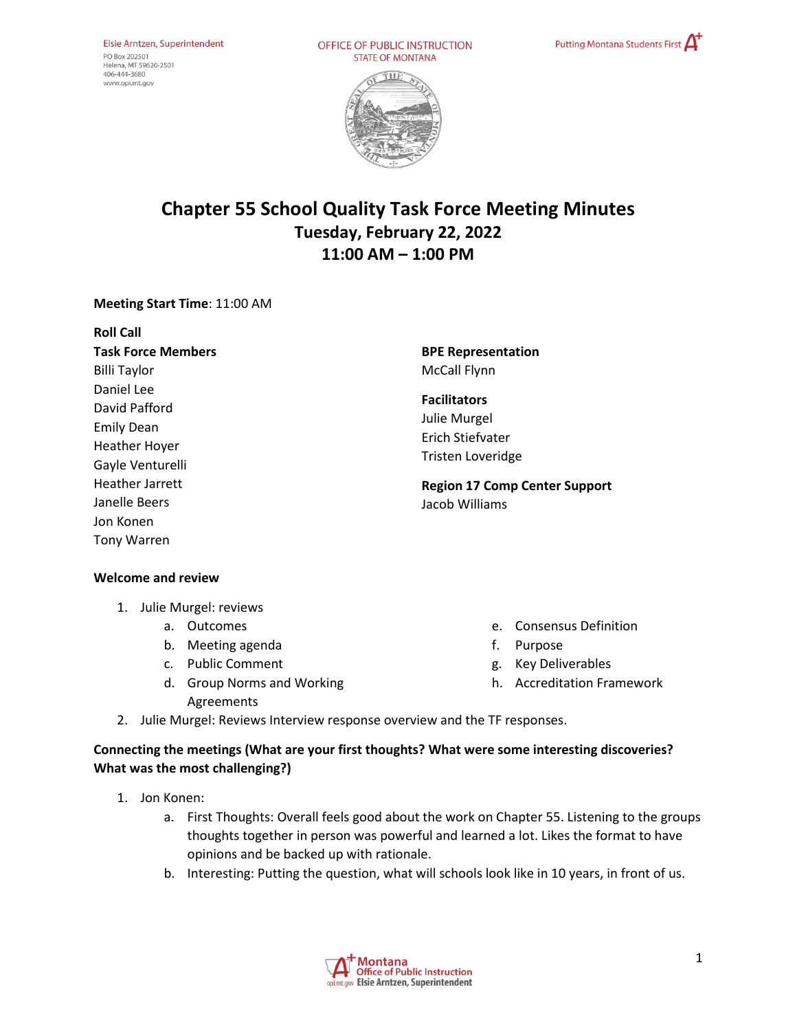OFFICE OF PUBLIC INSTRUCTION **STATE OF MONTANA** 





# **Chapter 55 School Quality Task Force Meeting Minutes Tuesday, February 22, 2022 11:00 AM – 1:00 PM**

## **Meeting Start Time**: 11:00 AM

| <b>Roll Call</b>                                                                             |                                                                                     |
|----------------------------------------------------------------------------------------------|-------------------------------------------------------------------------------------|
| <b>Task Force Members</b>                                                                    | <b>BPE Representation</b>                                                           |
| <b>Billi Taylor</b>                                                                          | <b>McCall Flynn</b>                                                                 |
| Daniel Lee<br>David Pafford<br><b>Emily Dean</b><br><b>Heather Hoyer</b><br>Gayle Venturelli | <b>Facilitators</b><br>Julie Murgel<br>Erich Stiefvater<br><b>Tristen Loveridge</b> |
| <b>Heather Jarrett</b><br>Janelle Beers<br>Jon Konen<br><b>Tony Warren</b>                   | <b>Region 17 Comp Center Support</b><br>Jacob Williams                              |

#### **Welcome and review**

- 1. Julie Murgel: reviews
	- a. Outcomes
	- b. Meeting agenda
	- c. Public Comment
	- d. Group Norms and Working Agreements
- e. Consensus Definition
- f. Purpose
- g. Key Deliverables
- h. Accreditation Framework
- 2. Julie Murgel: Reviews Interview response overview and the TF responses.

# **Connecting the meetings (What are your first thoughts? What were some interesting discoveries? What was the most challenging?)**

- 1. Jon Konen:
	- a. First Thoughts: Overall feels good about the work on Chapter 55. Listening to the groups thoughts together in person was powerful and learned a lot. Likes the format to have opinions and be backed up with rationale.
	- b. Interesting: Putting the question, what will schools look like in 10 years, in front of us.

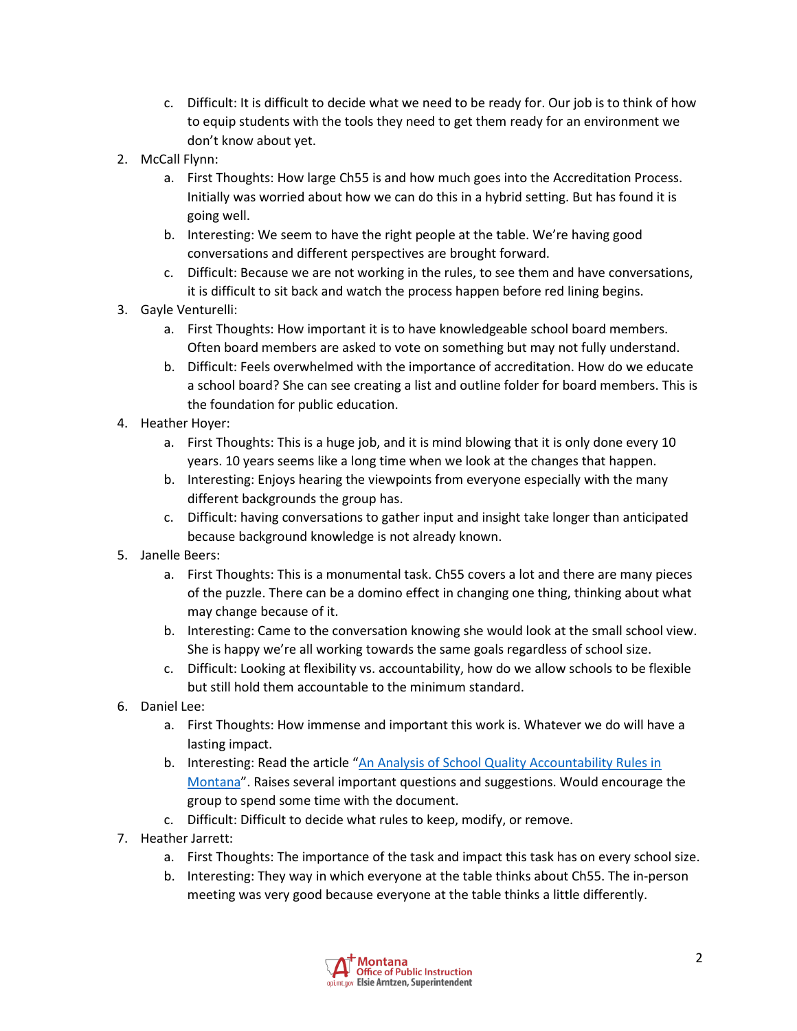- c. Difficult: It is difficult to decide what we need to be ready for. Our job is to think of how to equip students with the tools they need to get them ready for an environment we don't know about yet.
- 2. McCall Flynn:
	- a. First Thoughts: How large Ch55 is and how much goes into the Accreditation Process. Initially was worried about how we can do this in a hybrid setting. But has found it is going well.
	- b. Interesting: We seem to have the right people at the table. We're having good conversations and different perspectives are brought forward.
	- c. Difficult: Because we are not working in the rules, to see them and have conversations, it is difficult to sit back and watch the process happen before red lining begins.
- 3. Gayle Venturelli:
	- a. First Thoughts: How important it is to have knowledgeable school board members. Often board members are asked to vote on something but may not fully understand.
	- b. Difficult: Feels overwhelmed with the importance of accreditation. How do we educate a school board? She can see creating a list and outline folder for board members. This is the foundation for public education.
- 4. Heather Hoyer:
	- a. First Thoughts: This is a huge job, and it is mind blowing that it is only done every 10 years. 10 years seems like a long time when we look at the changes that happen.
	- b. Interesting: Enjoys hearing the viewpoints from everyone especially with the many different backgrounds the group has.
	- c. Difficult: having conversations to gather input and insight take longer than anticipated because background knowledge is not already known.
- 5. Janelle Beers:
	- a. First Thoughts: This is a monumental task. Ch55 covers a lot and there are many pieces of the puzzle. There can be a domino effect in changing one thing, thinking about what may change because of it.
	- b. Interesting: Came to the conversation knowing she would look at the small school view. She is happy we're all working towards the same goals regardless of school size.
	- c. Difficult: Looking at flexibility vs. accountability, how do we allow schools to be flexible but still hold them accountable to the minimum standard.
- 6. Daniel Lee:
	- a. First Thoughts: How immense and important this work is. Whatever we do will have a lasting impact.
	- b. Interesting: Read the article ["An Analysis of School Quality Accountability Rules in](https://drive.google.com/file/d/1Z6F0uKxCd1K7l1dhQ3yQrthLotsbeIK5/view)  [Montana"](https://drive.google.com/file/d/1Z6F0uKxCd1K7l1dhQ3yQrthLotsbeIK5/view). Raises several important questions and suggestions. Would encourage the group to spend some time with the document.
	- c. Difficult: Difficult to decide what rules to keep, modify, or remove.
- 7. Heather Jarrett:
	- a. First Thoughts: The importance of the task and impact this task has on every school size.
	- b. Interesting: They way in which everyone at the table thinks about Ch55. The in-person meeting was very good because everyone at the table thinks a little differently.

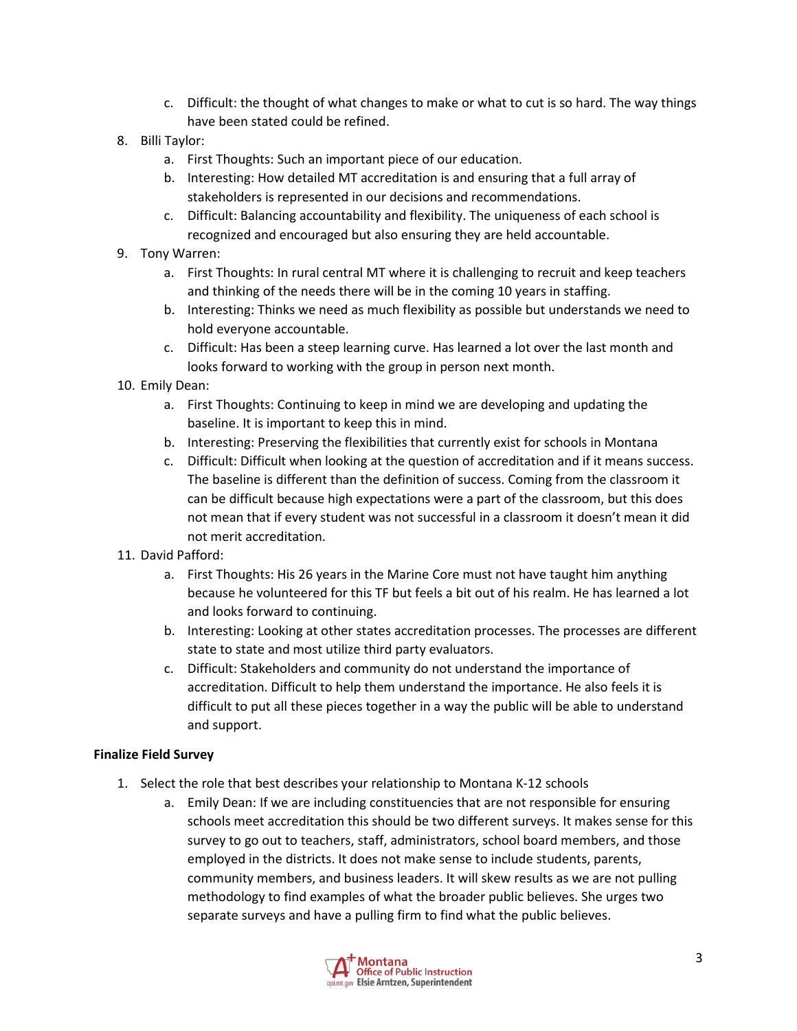- c. Difficult: the thought of what changes to make or what to cut is so hard. The way things have been stated could be refined.
- 8. Billi Taylor:
	- a. First Thoughts: Such an important piece of our education.
	- b. Interesting: How detailed MT accreditation is and ensuring that a full array of stakeholders is represented in our decisions and recommendations.
	- c. Difficult: Balancing accountability and flexibility. The uniqueness of each school is recognized and encouraged but also ensuring they are held accountable.
- 9. Tony Warren:
	- a. First Thoughts: In rural central MT where it is challenging to recruit and keep teachers and thinking of the needs there will be in the coming 10 years in staffing.
	- b. Interesting: Thinks we need as much flexibility as possible but understands we need to hold everyone accountable.
	- c. Difficult: Has been a steep learning curve. Has learned a lot over the last month and looks forward to working with the group in person next month.
- 10. Emily Dean:
	- a. First Thoughts: Continuing to keep in mind we are developing and updating the baseline. It is important to keep this in mind.
	- b. Interesting: Preserving the flexibilities that currently exist for schools in Montana
	- c. Difficult: Difficult when looking at the question of accreditation and if it means success. The baseline is different than the definition of success. Coming from the classroom it can be difficult because high expectations were a part of the classroom, but this does not mean that if every student was not successful in a classroom it doesn't mean it did not merit accreditation.
- 11. David Pafford:
	- a. First Thoughts: His 26 years in the Marine Core must not have taught him anything because he volunteered for this TF but feels a bit out of his realm. He has learned a lot and looks forward to continuing.
	- b. Interesting: Looking at other states accreditation processes. The processes are different state to state and most utilize third party evaluators.
	- c. Difficult: Stakeholders and community do not understand the importance of accreditation. Difficult to help them understand the importance. He also feels it is difficult to put all these pieces together in a way the public will be able to understand and support.

#### **Finalize Field Survey**

- 1. Select the role that best describes your relationship to Montana K-12 schools
	- a. Emily Dean: If we are including constituencies that are not responsible for ensuring schools meet accreditation this should be two different surveys. It makes sense for this survey to go out to teachers, staff, administrators, school board members, and those employed in the districts. It does not make sense to include students, parents, community members, and business leaders. It will skew results as we are not pulling methodology to find examples of what the broader public believes. She urges two separate surveys and have a pulling firm to find what the public believes.

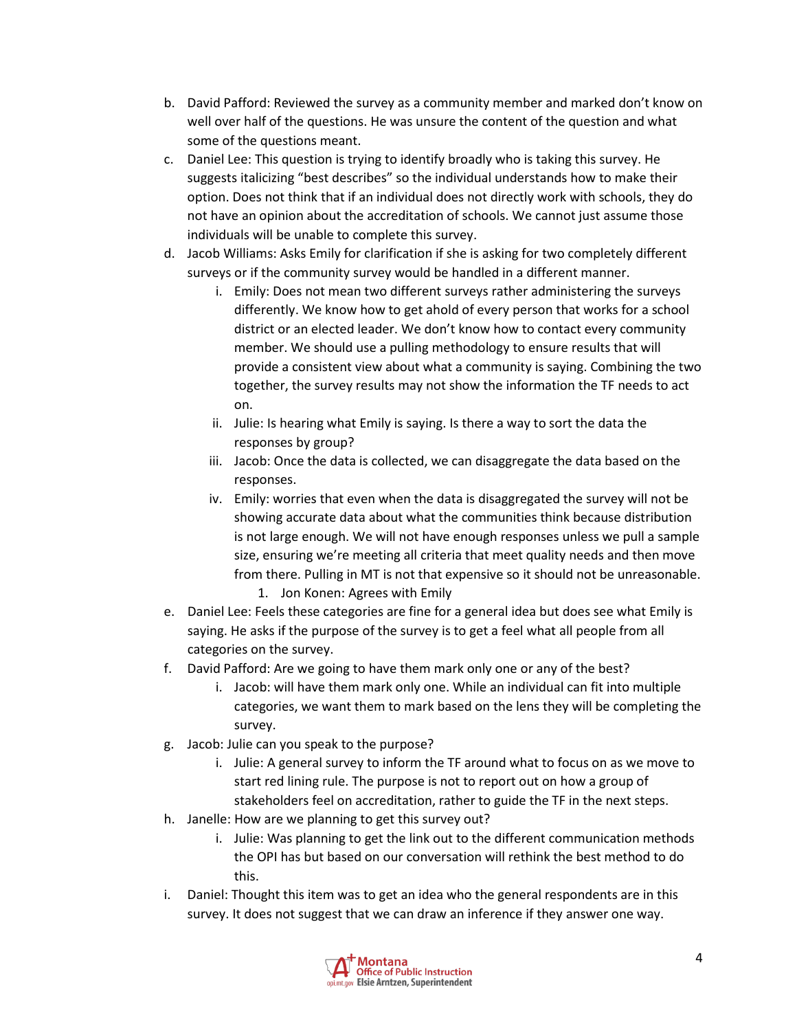- b. David Pafford: Reviewed the survey as a community member and marked don't know on well over half of the questions. He was unsure the content of the question and what some of the questions meant.
- c. Daniel Lee: This question is trying to identify broadly who is taking this survey. He suggests italicizing "best describes" so the individual understands how to make their option. Does not think that if an individual does not directly work with schools, they do not have an opinion about the accreditation of schools. We cannot just assume those individuals will be unable to complete this survey.
- d. Jacob Williams: Asks Emily for clarification if she is asking for two completely different surveys or if the community survey would be handled in a different manner.
	- i. Emily: Does not mean two different surveys rather administering the surveys differently. We know how to get ahold of every person that works for a school district or an elected leader. We don't know how to contact every community member. We should use a pulling methodology to ensure results that will provide a consistent view about what a community is saying. Combining the two together, the survey results may not show the information the TF needs to act on.
	- ii. Julie: Is hearing what Emily is saying. Is there a way to sort the data the responses by group?
	- iii. Jacob: Once the data is collected, we can disaggregate the data based on the responses.
	- iv. Emily: worries that even when the data is disaggregated the survey will not be showing accurate data about what the communities think because distribution is not large enough. We will not have enough responses unless we pull a sample size, ensuring we're meeting all criteria that meet quality needs and then move from there. Pulling in MT is not that expensive so it should not be unreasonable.
		- 1. Jon Konen: Agrees with Emily
- e. Daniel Lee: Feels these categories are fine for a general idea but does see what Emily is saying. He asks if the purpose of the survey is to get a feel what all people from all categories on the survey.
- f. David Pafford: Are we going to have them mark only one or any of the best?
	- i. Jacob: will have them mark only one. While an individual can fit into multiple categories, we want them to mark based on the lens they will be completing the survey.
- g. Jacob: Julie can you speak to the purpose?
	- i. Julie: A general survey to inform the TF around what to focus on as we move to start red lining rule. The purpose is not to report out on how a group of stakeholders feel on accreditation, rather to guide the TF in the next steps.
- h. Janelle: How are we planning to get this survey out?
	- i. Julie: Was planning to get the link out to the different communication methods the OPI has but based on our conversation will rethink the best method to do this.
- i. Daniel: Thought this item was to get an idea who the general respondents are in this survey. It does not suggest that we can draw an inference if they answer one way.

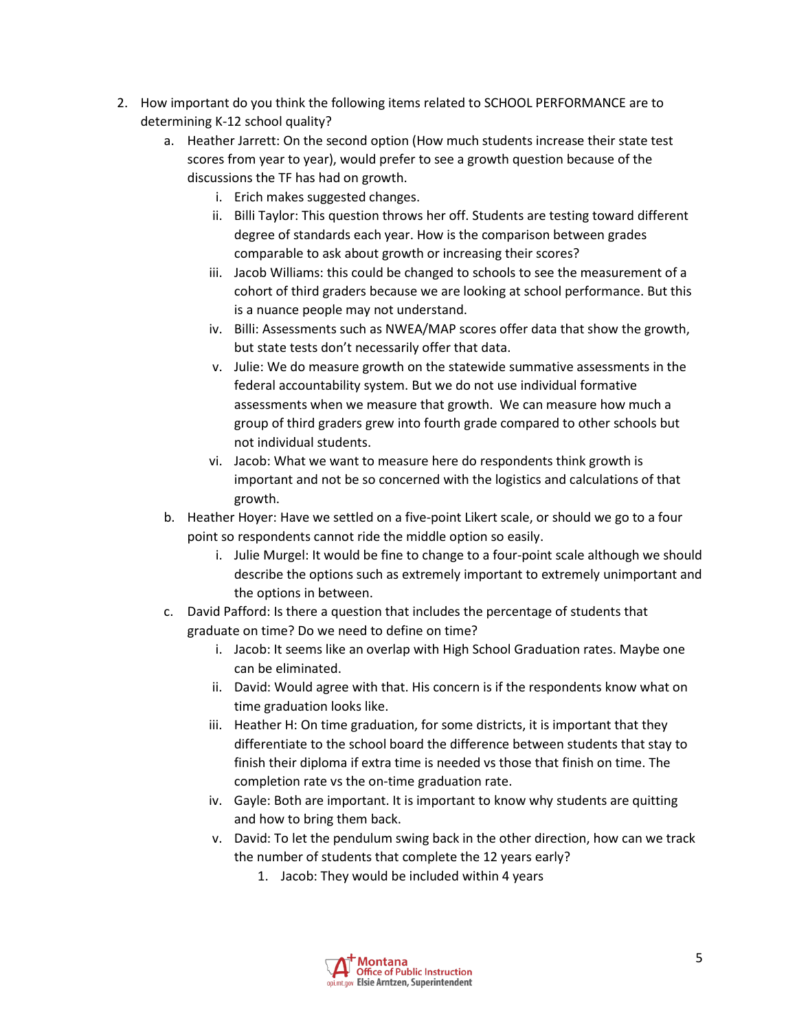- 2. How important do you think the following items related to SCHOOL PERFORMANCE are to determining K-12 school quality?
	- a. Heather Jarrett: On the second option (How much students increase their state test scores from year to year), would prefer to see a growth question because of the discussions the TF has had on growth.
		- i. Erich makes suggested changes.
		- ii. Billi Taylor: This question throws her off. Students are testing toward different degree of standards each year. How is the comparison between grades comparable to ask about growth or increasing their scores?
		- iii. Jacob Williams: this could be changed to schools to see the measurement of a cohort of third graders because we are looking at school performance. But this is a nuance people may not understand.
		- iv. Billi: Assessments such as NWEA/MAP scores offer data that show the growth, but state tests don't necessarily offer that data.
		- v. Julie: We do measure growth on the statewide summative assessments in the federal accountability system. But we do not use individual formative assessments when we measure that growth. We can measure how much a group of third graders grew into fourth grade compared to other schools but not individual students.
		- vi. Jacob: What we want to measure here do respondents think growth is important and not be so concerned with the logistics and calculations of that growth.
	- b. Heather Hoyer: Have we settled on a five-point Likert scale, or should we go to a four point so respondents cannot ride the middle option so easily.
		- i. Julie Murgel: It would be fine to change to a four-point scale although we should describe the options such as extremely important to extremely unimportant and the options in between.
	- c. David Pafford: Is there a question that includes the percentage of students that graduate on time? Do we need to define on time?
		- i. Jacob: It seems like an overlap with High School Graduation rates. Maybe one can be eliminated.
		- ii. David: Would agree with that. His concern is if the respondents know what on time graduation looks like.
		- iii. Heather H: On time graduation, for some districts, it is important that they differentiate to the school board the difference between students that stay to finish their diploma if extra time is needed vs those that finish on time. The completion rate vs the on-time graduation rate.
		- iv. Gayle: Both are important. It is important to know why students are quitting and how to bring them back.
		- v. David: To let the pendulum swing back in the other direction, how can we track the number of students that complete the 12 years early?
			- 1. Jacob: They would be included within 4 years

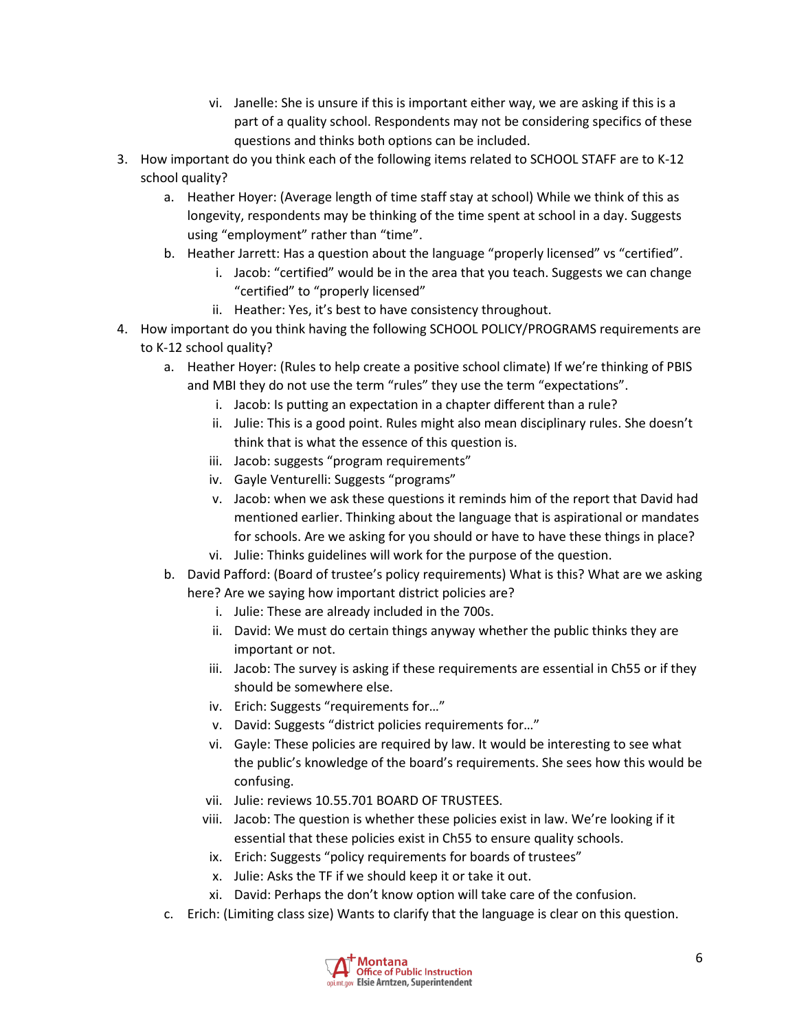- vi. Janelle: She is unsure if this is important either way, we are asking if this is a part of a quality school. Respondents may not be considering specifics of these questions and thinks both options can be included.
- 3. How important do you think each of the following items related to SCHOOL STAFF are to K-12 school quality?
	- a. Heather Hoyer: (Average length of time staff stay at school) While we think of this as longevity, respondents may be thinking of the time spent at school in a day. Suggests using "employment" rather than "time".
	- b. Heather Jarrett: Has a question about the language "properly licensed" vs "certified".
		- i. Jacob: "certified" would be in the area that you teach. Suggests we can change "certified" to "properly licensed"
		- ii. Heather: Yes, it's best to have consistency throughout.
- 4. How important do you think having the following SCHOOL POLICY/PROGRAMS requirements are to K-12 school quality?
	- a. Heather Hoyer: (Rules to help create a positive school climate) If we're thinking of PBIS and MBI they do not use the term "rules" they use the term "expectations".
		- i. Jacob: Is putting an expectation in a chapter different than a rule?
		- ii. Julie: This is a good point. Rules might also mean disciplinary rules. She doesn't think that is what the essence of this question is.
		- iii. Jacob: suggests "program requirements"
		- iv. Gayle Venturelli: Suggests "programs"
		- v. Jacob: when we ask these questions it reminds him of the report that David had mentioned earlier. Thinking about the language that is aspirational or mandates for schools. Are we asking for you should or have to have these things in place?
		- vi. Julie: Thinks guidelines will work for the purpose of the question.
	- b. David Pafford: (Board of trustee's policy requirements) What is this? What are we asking here? Are we saying how important district policies are?
		- i. Julie: These are already included in the 700s.
		- ii. David: We must do certain things anyway whether the public thinks they are important or not.
		- iii. Jacob: The survey is asking if these requirements are essential in Ch55 or if they should be somewhere else.
		- iv. Erich: Suggests "requirements for…"
		- v. David: Suggests "district policies requirements for…"
		- vi. Gayle: These policies are required by law. It would be interesting to see what the public's knowledge of the board's requirements. She sees how this would be confusing.
		- vii. Julie: reviews 10.55.701 BOARD OF TRUSTEES.
		- viii. Jacob: The question is whether these policies exist in law. We're looking if it essential that these policies exist in Ch55 to ensure quality schools.
		- ix. Erich: Suggests "policy requirements for boards of trustees"
		- x. Julie: Asks the TF if we should keep it or take it out.
		- xi. David: Perhaps the don't know option will take care of the confusion.
	- c. Erich: (Limiting class size) Wants to clarify that the language is clear on this question.

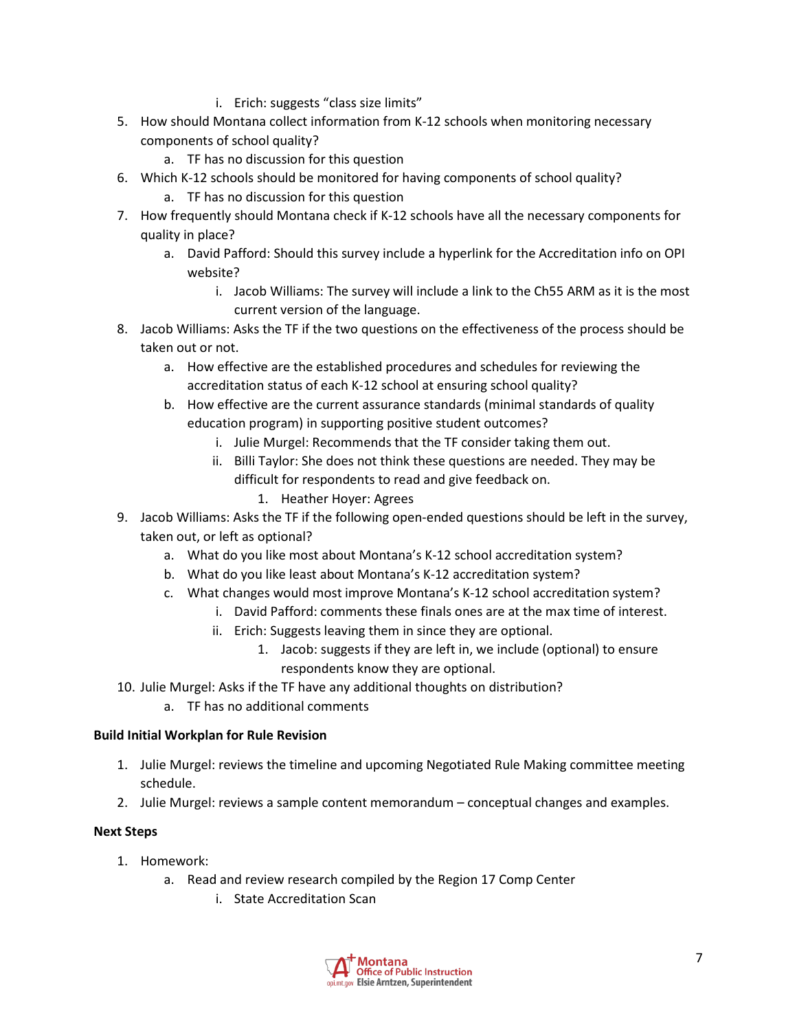- i. Erich: suggests "class size limits"
- 5. How should Montana collect information from K-12 schools when monitoring necessary components of school quality?
	- a. TF has no discussion for this question
- 6. Which K-12 schools should be monitored for having components of school quality?
	- a. TF has no discussion for this question
- 7. How frequently should Montana check if K-12 schools have all the necessary components for quality in place?
	- a. David Pafford: Should this survey include a hyperlink for the Accreditation info on OPI website?
		- i. Jacob Williams: The survey will include a link to the Ch55 ARM as it is the most current version of the language.
- 8. Jacob Williams: Asks the TF if the two questions on the effectiveness of the process should be taken out or not.
	- a. How effective are the established procedures and schedules for reviewing the accreditation status of each K-12 school at ensuring school quality?
	- b. How effective are the current assurance standards (minimal standards of quality education program) in supporting positive student outcomes?
		- i. Julie Murgel: Recommends that the TF consider taking them out.
		- ii. Billi Taylor: She does not think these questions are needed. They may be difficult for respondents to read and give feedback on.
			- 1. Heather Hoyer: Agrees
- 9. Jacob Williams: Asks the TF if the following open-ended questions should be left in the survey, taken out, or left as optional?
	- a. What do you like most about Montana's K-12 school accreditation system?
	- b. What do you like least about Montana's K-12 accreditation system?
	- c. What changes would most improve Montana's K-12 school accreditation system?
		- i. David Pafford: comments these finals ones are at the max time of interest.
		- ii. Erich: Suggests leaving them in since they are optional.
			- 1. Jacob: suggests if they are left in, we include (optional) to ensure respondents know they are optional.
- 10. Julie Murgel: Asks if the TF have any additional thoughts on distribution?
	- a. TF has no additional comments

# **Build Initial Workplan for Rule Revision**

- 1. Julie Murgel: reviews the timeline and upcoming Negotiated Rule Making committee meeting schedule.
- 2. Julie Murgel: reviews a sample content memorandum conceptual changes and examples.

#### **Next Steps**

- 1. Homework:
	- a. Read and review research compiled by the Region 17 Comp Center
		- i. State Accreditation Scan